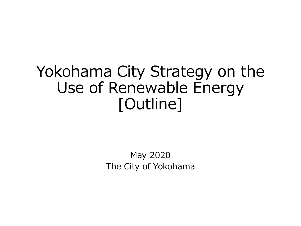# Yokohama City Strategy on the Use of Renewable Energy [Outline]

May 2020 The City of Yokohama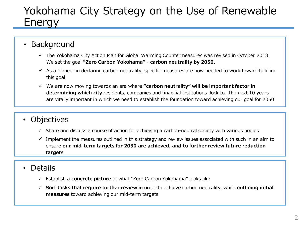## Yokohama City Strategy on the Use of Renewable Energy

- **Background** 
	- $\checkmark$  The Yokohama City Action Plan for Global Warming Countermeasures was revised in October 2018. We set the goal **"Zero Carbon Yokohama"** - **carbon neutrality by 2050.**
	- $\checkmark$  As a pioneer in declaring carbon neutrality, specific measures are now needed to work toward fulfilling this goal
	- We are now moving towards an era where **"carbon neutrality" will be important factor in determining which city** residents, companies and financial institutions flock to. The next 10 years are vitally important in which we need to establish the foundation toward achieving our goal for 2050

## • Objectives

- $\checkmark$  Share and discuss a course of action for achieving a carbon-neutral society with various bodies
- $\checkmark$  Implement the measures outlined in this strategy and review issues associated with such in an aim to ensure **our mid-term targets for 2030 are achieved, and to further review future reduction targets**
- Details
	- Establish a **concrete picture** of what "Zero Carbon Yokohama" looks like
	- **Sort tasks that require further review** in order to achieve carbon neutrality, while **outlining initial measures** toward achieving our mid-term targets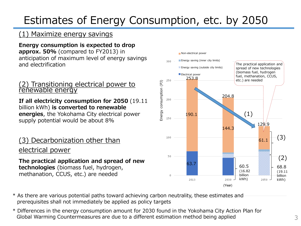## Estimates of Energy Consumption, etc. by 2050

#### (1) Maximize energy savings

**Energy consumption is expected to drop approx. 50%** (compared to FY2013) in anticipation of maximum level of energy savings and electrification

#### (2) Transitioning electrical power to renewable energy

**If all electricity consumption for 2050** (19.11 billion kWh) **is converted to renewable energies**, the Yokohama City electrical power supply potential would be about 8%

### (3) Decarbonization other than electrical power

**The practical application and spread of new technologies** (biomass fuel, hydrogen, methanation, CCUS, etc.) are needed



- \* As there are various potential paths toward achieving carbon neutrality, these estimates and prerequisites shall not immediately be applied as policy targets
- \* Differences in the energy consumption amount for 2030 found in the Yokohama City Action Plan for Global Warming Countermeasures are due to a different estimation method being applied 3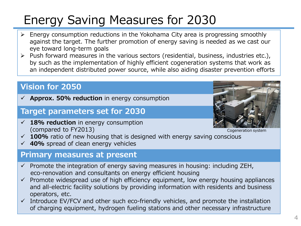# Energy Saving Measures for 2030

- $\triangleright$  Energy consumption reductions in the Yokohama City area is progressing smoothly against the target. The further promotion of energy saving is needed as we cast our eye toward long-term goals
- $\triangleright$  Push forward measures in the various sectors (residential, business, industries etc.), by such as the implementation of highly efficient cogeneration systems that work as an independent distributed power source, while also aiding disaster prevention efforts

### **Vision for 2050**

**Approx. 50% reduction** in energy consumption

### **Target parameters set for 2030**

 **18% reduction** in energy consumption (compared to FY2013)



Cogeneration system

- **100%** ratio of new housing that is designed with energy saving conscious
- **40%** spread of clean energy vehicles

#### **Primary measures at present**

- $\checkmark$  Promote the integration of energy saving measures in housing: including ZEH, eco-renovation and consultants on energy efficient housing
- $\checkmark$  Promote widespread use of high efficiency equipment, low energy housing appliances and all-electric facility solutions by providing information with residents and business operators, etc.
- $\checkmark$  Introduce EV/FCV and other such eco-friendly vehicles, and promote the installation of charging equipment, hydrogen fueling stations and other necessary infrastructure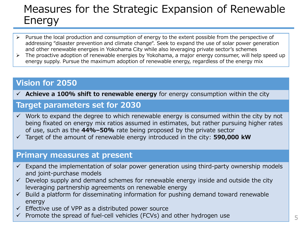## Measures for the Strategic Expansion of Renewable Energy

- $\triangleright$  Pursue the local production and consumption of energy to the extent possible from the perspective of addressing "disaster prevention and climate change". Seek to expand the use of solar power generation and other renewable energies in Yokohama City while also leveraging private sector's schemes
- $\triangleright$  The proactive adoption of renewable energies by Yokohama, a major energy consumer, will help speed up energy supply. Pursue the maximum adoption of renewable energy, regardless of the energy mix

## **Vision for 2050**

**Achieve a 100% shift to renewable energy** for energy consumption within the city

#### **Target parameters set for 2030**

- $\checkmark$  Work to expand the degree to which renewable energy is consumed within the city by not being fixated on energy mix ratios assumed in estimates, but rather pursuing higher rates of use, such as the **44%–50%** rate being proposed by the private sector
- Target of the amount of renewable energy introduced in the city: **590,000 kW**

#### **Primary measures at present**

- $\checkmark$  Expand the implementation of solar power generation using third-party ownership models and joint-purchase models
- $\checkmark$  Develop supply and demand schemes for renewable energy inside and outside the city leveraging partnership agreements on renewable energy
- $\checkmark$  Build a platform for disseminating information for pushing demand toward renewable energy
- $\checkmark$  Effective use of VPP as a distributed power source
- $\checkmark$  Promote the spread of fuel-cell vehicles (FCVs) and other hydrogen use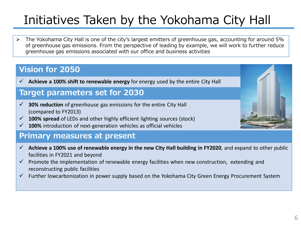# Initiatives Taken by the Yokohama City Hall

 The Yokohama City Hall is one of the city's largest emitters of greenhouse gas, accounting for around 5% of greenhouse gas emissions. From the perspective of leading by example, we will work to further reduce greenhouse gas emissions associated with our office and business activities

## **Vision for 2050**

 $\checkmark$  Achieve a 100% shift to renewable energy for energy used by the entire City Hall

### **Target parameters set for 2030**

- **30% reduction** of greenhouse gas emissions for the entire City Hall (compared to FY2013)
- **100% spread** of LEDs and other highly efficient lighting sources (stock)
- **100%** introduction of next-generation vehicles as official vehicles

#### **Primary measures at present**

- $\checkmark$  Achieve a 100% use of renewable energy in the new City Hall building in FY2020, and expand to other public facilities in FY2021 and beyond
- $\checkmark$  Promote the implementation of renewable energy facilities when new construction, extending and reconstructing public facilities
- Further lowcarbonization in power supply based on the Yokohama City Green Energy Procurement System